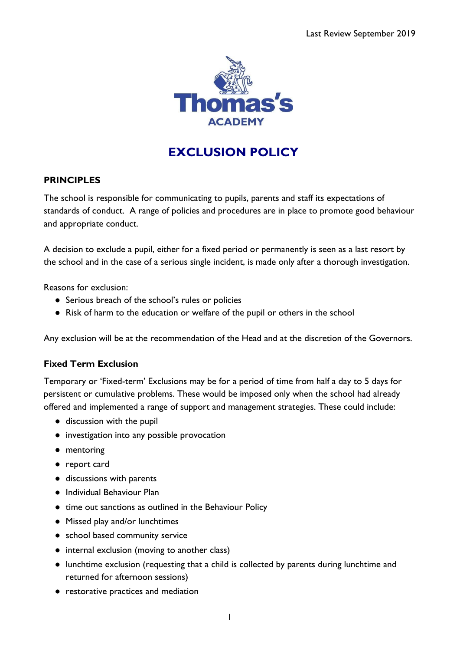

# **EXCLUSION POLICY**

## **PRINCIPLES**

The school is responsible for communicating to pupils, parents and staff its expectations of standards of conduct. A range of policies and procedures are in place to promote good behaviour and appropriate conduct.

A decision to exclude a pupil, either for a fixed period or permanently is seen as a last resort by the school and in the case of a serious single incident, is made only after a thorough investigation.

Reasons for exclusion:

- Serious breach of the school's rules or policies
- Risk of harm to the education or welfare of the pupil or others in the school

Any exclusion will be at the recommendation of the Head and at the discretion of the Governors.

#### **Fixed Term Exclusion**

Temporary or 'Fixed-term' Exclusions may be for a period of time from half a day to 5 days for persistent or cumulative problems. These would be imposed only when the school had already offered and implemented a range of support and management strategies. These could include:

- discussion with the pupil
- investigation into any possible provocation
- mentoring
- report card
- discussions with parents
- Individual Behaviour Plan
- time out sanctions as outlined in the Behaviour Policy
- Missed play and/or lunchtimes
- school based community service
- internal exclusion (moving to another class)
- lunchtime exclusion (requesting that a child is collected by parents during lunchtime and returned for afternoon sessions)
- restorative practices and mediation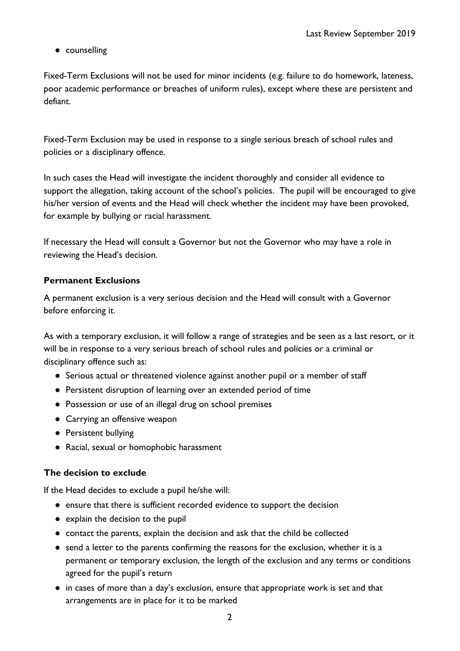● counselling

Fixed-Term Exclusions will not be used for minor incidents (e.g. failure to do homework, lateness, poor academic performance or breaches of uniform rules), except where these are persistent and defiant.

Fixed-Term Exclusion may be used in response to a single serious breach of school rules and policies or a disciplinary offence.

In such cases the Head will investigate the incident thoroughly and consider all evidence to support the allegation, taking account of the school's policies. The pupil will be encouraged to give his/her version of events and the Head will check whether the incident may have been provoked, for example by bullying or racial harassment.

If necessary the Head will consult a Governor but not the Governor who may have a role in reviewing the Head's decision.

#### **Permanent Exclusions**

A permanent exclusion is a very serious decision and the Head will consult with a Governor before enforcing it.

As with a temporary exclusion, it will follow a range of strategies and be seen as a last resort, or it will be in response to a very serious breach of school rules and policies or a criminal or disciplinary offence such as:

- Serious actual or threatened violence against another pupil or a member of staff
- Persistent disruption of learning over an extended period of time
- Possession or use of an illegal drug on school premises
- Carrying an offensive weapon
- Persistent bullying
- Racial, sexual or homophobic harassment

#### **The decision to exclude**

If the Head decides to exclude a pupil he/she will:

- ensure that there is sufficient recorded evidence to support the decision
- explain the decision to the pupil
- contact the parents, explain the decision and ask that the child be collected
- send a letter to the parents confirming the reasons for the exclusion, whether it is a permanent or temporary exclusion, the length of the exclusion and any terms or conditions agreed for the pupil's return
- in cases of more than a day's exclusion, ensure that appropriate work is set and that arrangements are in place for it to be marked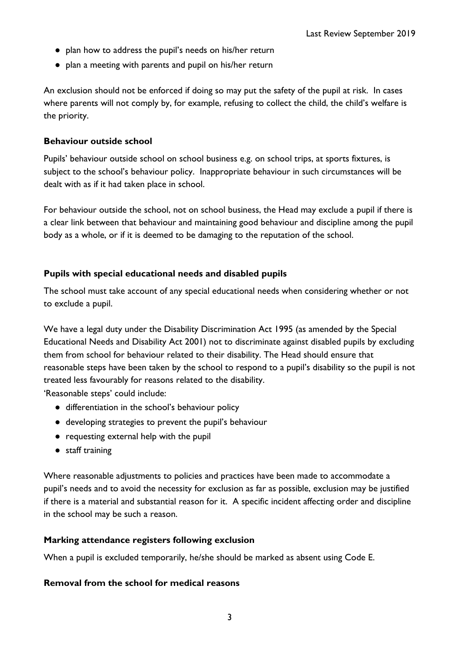- plan how to address the pupil's needs on his/her return
- plan a meeting with parents and pupil on his/her return

An exclusion should not be enforced if doing so may put the safety of the pupil at risk. In cases where parents will not comply by, for example, refusing to collect the child, the child's welfare is the priority.

## **Behaviour outside school**

Pupils' behaviour outside school on school business e.g. on school trips, at sports fixtures, is subject to the school's behaviour policy. Inappropriate behaviour in such circumstances will be dealt with as if it had taken place in school.

For behaviour outside the school, not on school business, the Head may exclude a pupil if there is a clear link between that behaviour and maintaining good behaviour and discipline among the pupil body as a whole, or if it is deemed to be damaging to the reputation of the school.

# **Pupils with special educational needs and disabled pupils**

The school must take account of any special educational needs when considering whether or not to exclude a pupil.

We have a legal duty under the Disability Discrimination Act 1995 (as amended by the Special Educational Needs and Disability Act 2001) not to discriminate against disabled pupils by excluding them from school for behaviour related to their disability. The Head should ensure that reasonable steps have been taken by the school to respond to a pupil's disability so the pupil is not treated less favourably for reasons related to the disability.

'Reasonable steps' could include:

- differentiation in the school's behaviour policy
- developing strategies to prevent the pupil's behaviour
- requesting external help with the pupil
- staff training

Where reasonable adjustments to policies and practices have been made to accommodate a pupil's needs and to avoid the necessity for exclusion as far as possible, exclusion may be justified if there is a material and substantial reason for it. A specific incident affecting order and discipline in the school may be such a reason.

# **Marking attendance registers following exclusion**

When a pupil is excluded temporarily, he/she should be marked as absent using Code E.

# **Removal from the school for medical reasons**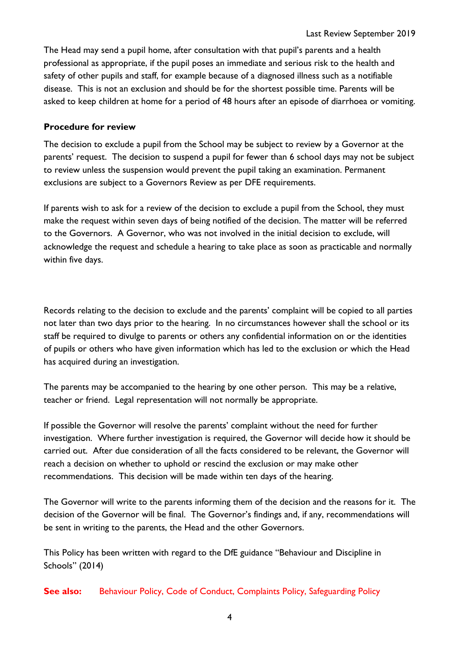The Head may send a pupil home, after consultation with that pupil's parents and a health professional as appropriate, if the pupil poses an immediate and serious risk to the health and safety of other pupils and staff, for example because of a diagnosed illness such as a notifiable disease. This is not an exclusion and should be for the shortest possible time. Parents will be asked to keep children at home for a period of 48 hours after an episode of diarrhoea or vomiting.

## **Procedure for review**

The decision to exclude a pupil from the School may be subject to review by a Governor at the parents' request. The decision to suspend a pupil for fewer than 6 school days may not be subject to review unless the suspension would prevent the pupil taking an examination. Permanent exclusions are subject to a Governors Review as per DFE requirements.

If parents wish to ask for a review of the decision to exclude a pupil from the School, they must make the request within seven days of being notified of the decision. The matter will be referred to the Governors. A Governor, who was not involved in the initial decision to exclude, will acknowledge the request and schedule a hearing to take place as soon as practicable and normally within five days.

Records relating to the decision to exclude and the parents' complaint will be copied to all parties not later than two days prior to the hearing. In no circumstances however shall the school or its staff be required to divulge to parents or others any confidential information on or the identities of pupils or others who have given information which has led to the exclusion or which the Head has acquired during an investigation.

The parents may be accompanied to the hearing by one other person. This may be a relative, teacher or friend. Legal representation will not normally be appropriate.

If possible the Governor will resolve the parents' complaint without the need for further investigation. Where further investigation is required, the Governor will decide how it should be carried out. After due consideration of all the facts considered to be relevant, the Governor will reach a decision on whether to uphold or rescind the exclusion or may make other recommendations. This decision will be made within ten days of the hearing.

The Governor will write to the parents informing them of the decision and the reasons for it. The decision of the Governor will be final. The Governor's findings and, if any, recommendations will be sent in writing to the parents, the Head and the other Governors.

This Policy has been written with regard to the DfE guidance "Behaviour and Discipline in Schools" (2014)

**See also:** Behaviour Policy, Code of Conduct, Complaints Policy, Safeguarding Policy